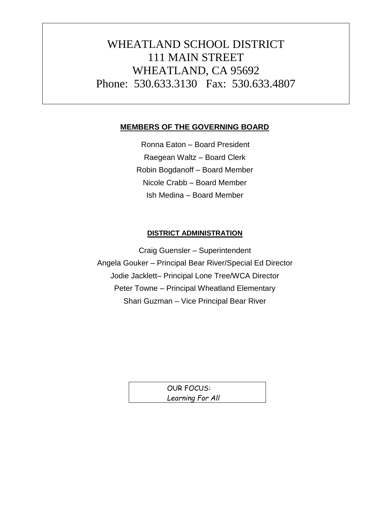# WHEATLAND SCHOOL DISTRICT 111 MAIN STREET WHEATLAND, CA 95692 Phone: 530.633.3130 Fax: 530.633.4807

### **MEMBERS OF THE GOVERNING BOARD**

Ronna Eaton – Board President Raegean Waltz – Board Clerk Robin Bogdanoff – Board Member Nicole Crabb – Board Member Ish Medina – Board Member

#### **DISTRICT ADMINISTRATION**

Craig Guensler – Superintendent Angela Gouker – Principal Bear River/Special Ed Director Jodie Jacklett– Principal Lone Tree/WCA Director Peter Towne – Principal Wheatland Elementary Shari Guzman – Vice Principal Bear River

> OUR FOCUS: *Learning For All*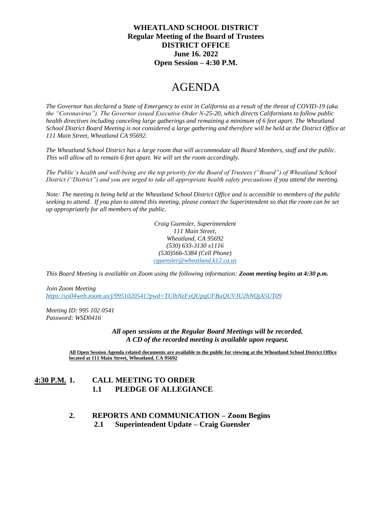#### **WHEATLAND SCHOOL DISTRICT Regular Meeting of the Board of Trustees DISTRICT OFFICE June 16. 2022 Open Session – 4:30 P.M.**

## AGENDA

*The Governor has declared a State of Emergency to exist in California as a result of the threat of COVID-19 (aka the "Coronavirus"). The Governor issued Executive Order N-25-20, which directs Californians to follow public health directives including canceling large gatherings and remaining a minimum of 6 feet apart. The Wheatland School District Board Meeting is not considered a large gathering and therefore will be held at the District Office at 111 Main Street, Wheatland CA 95692.*

*The Wheatland School District has a large room that will accommodate all Board Members, staff and the public. This will allow all to remain 6 feet apart. We will set the room accordingly.*

*The Public's health and well-being are the top priority for the Board of Trustees ("Board") of Wheatland School District ("District") and you are urged to take all appropriate health safety precautions if you attend the meeting.* 

*Note: The meeting is being held at the Wheatland School District Office and is accessible to members of the public seeking to attend. If you plan to attend this meeting, please contact the Superintendent so that the room can be set up appropriately for all members of the public.* 

> *Craig Guensler, Superintendent 111 Main Street, Wheatland, CA 95692 (530) 633-3130 x1116 (530)566-5384 (Cell Phone) [cguensler@wheatland.k12.ca.us](mailto:cguensler@wheatland.k12.ca.us)*

*This Board Meeting is available on Zoom using the following information: Zoom meeting begins at 4:30 p.m.*

*Join Zoom Meeting <https://us04web.zoom.us/j/9951020541?pwd=TUlhNzFxQUpqUFBuQUVJU2hNQjA5UT09>*

*Meeting ID: 995 102 0541 Password: WSD0416*

> *All open sessions at the Regular Board Meetings will be recorded. A CD of the recorded meeting is available upon request.*

**All Open Session Agenda related documents are available to the public for viewing at the Wheatland School District Office located at 111 Main Street, Wheatland, CA 95692**

#### **4:30 P.M. 1. CALL MEETING TO ORDER 1.1 PLEDGE OF ALLEGIANCE**

## **2. REPORTS AND COMMUNICATION – Zoom Begins**

 **2.1 Superintendent Update – Craig Guensler**